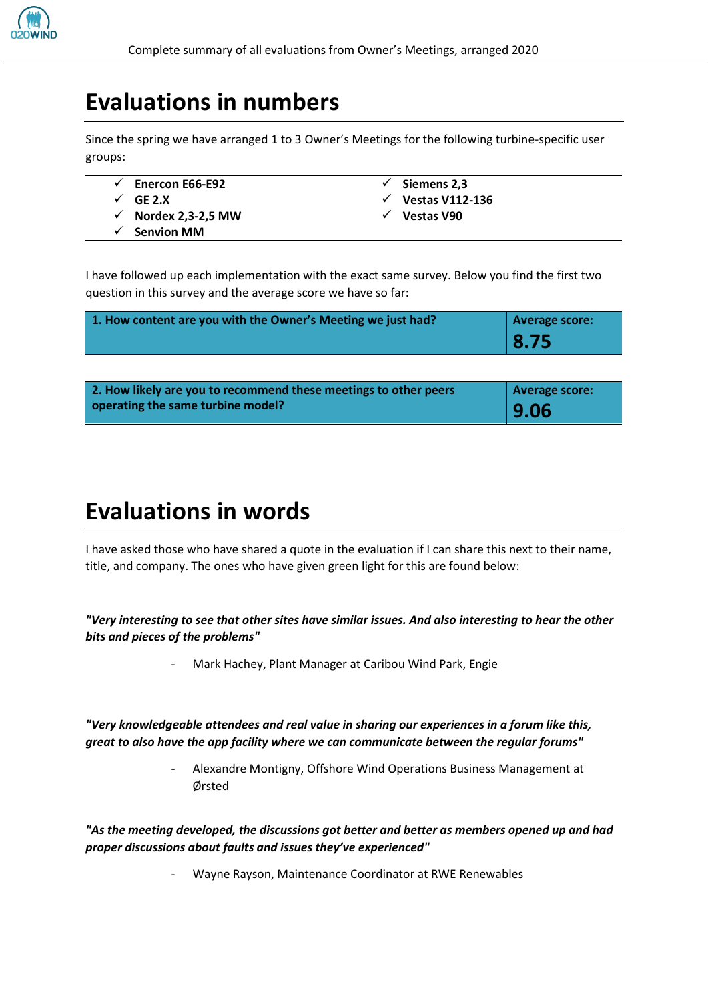

## **Evaluations in numbers**

Since the spring we have arranged 1 to 3 Owner's Meetings for the following turbine-specific user groups:

- ✓ **Enercon E66-E92**
- ✓ **GE 2.X**
- ✓ **Nordex 2,3-2,5 MW**
- ✓ **Senvion MM**
- ✓ **Siemens 2,3**
- ✓ **Vestas V112-136**
- ✓ **Vestas V90**

I have followed up each implementation with the exact same survey. Below you find the first two question in this survey and the average score we have so far:

| 1. How content are you with the Owner's Meeting we just had? | <b>Average score:</b> |
|--------------------------------------------------------------|-----------------------|
|                                                              | 8.75                  |
|                                                              |                       |

| 2. How likely are you to recommend these meetings to other peers | Average score: |
|------------------------------------------------------------------|----------------|
| operating the same turbine model?                                | 9.06           |

## **Evaluations in words**

I have asked those who have shared a quote in the evaluation if I can share this next to their name, title, and company. The ones who have given green light for this are found below:

*"Very interesting to see that other sites have similar issues. And also interesting to hear the other bits and pieces of the problems"*

Mark Hachey, Plant Manager at Caribou Wind Park, Engie

*"Very knowledgeable attendees and real value in sharing our experiences in a forum like this, great to also have the app facility where we can communicate between the regular forums"*

> - Alexandre Montigny, Offshore Wind Operations Business Management at Ørsted

*"As the meeting developed, the discussions got better and better as members opened up and had proper discussions about faults and issues they've experienced"*

- Wayne Rayson, Maintenance Coordinator at RWE Renewables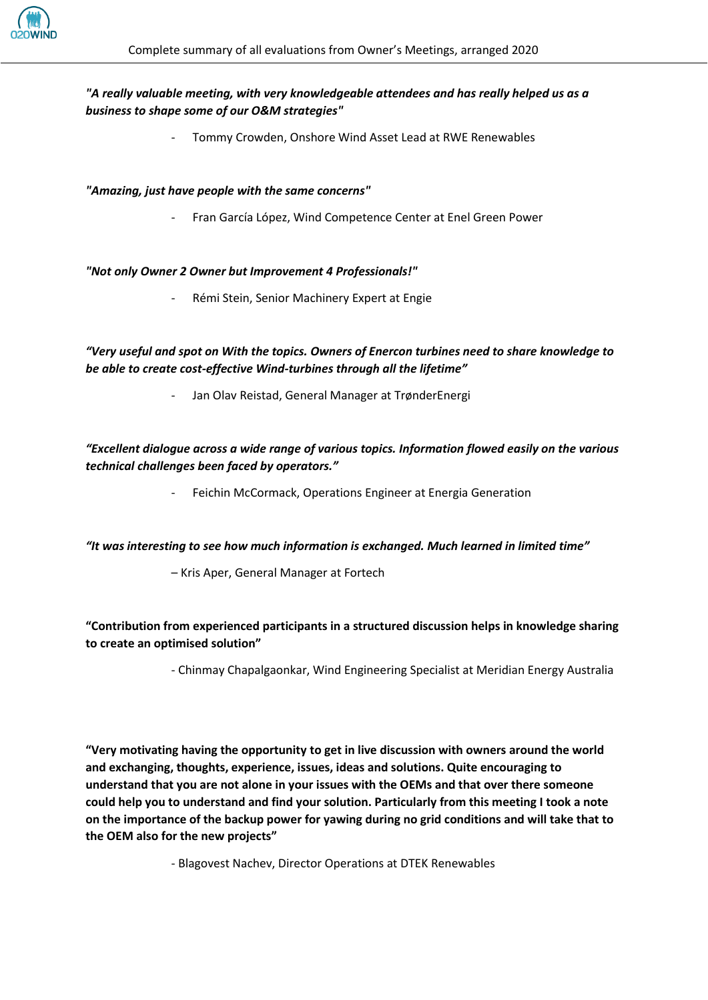

### *"A really valuable meeting, with very knowledgeable attendees and has really helped us as a business to shape some of our O&M strategies"*

- Tommy Crowden, Onshore Wind Asset Lead at RWE Renewables

#### *"Amazing, just have people with the same concerns"*

- Fran García López, Wind Competence Center at Enel Green Power

#### *"Not only Owner 2 Owner but Improvement 4 Professionals!"*

Rémi Stein, Senior Machinery Expert at Engie

*"Very useful and spot on With the topics. Owners of Enercon turbines need to share knowledge to be able to create cost-effective Wind-turbines through all the lifetime"*

Jan Olav Reistad, General Manager at TrønderEnergi

*"Excellent dialogue across a wide range of various topics. Information flowed easily on the various technical challenges been faced by operators."*

Feichin McCormack, Operations Engineer at Energia Generation

*"It was interesting to see how much information is exchanged. Much learned in limited time"* 

– Kris Aper, General Manager at Fortech

### **"Contribution from experienced participants in a structured discussion helps in knowledge sharing to create an optimised solution"**

- Chinmay Chapalgaonkar, Wind Engineering Specialist at Meridian Energy Australia

**"Very motivating having the opportunity to get in live discussion with owners around the world and exchanging, thoughts, experience, issues, ideas and solutions. Quite encouraging to understand that you are not alone in your issues with the OEMs and that over there someone could help you to understand and find your solution. Particularly from this meeting I took a note on the importance of the backup power for yawing during no grid conditions and will take that to the OEM also for the new projects"** 

- Blagovest Nachev, Director Operations at DTEK Renewables